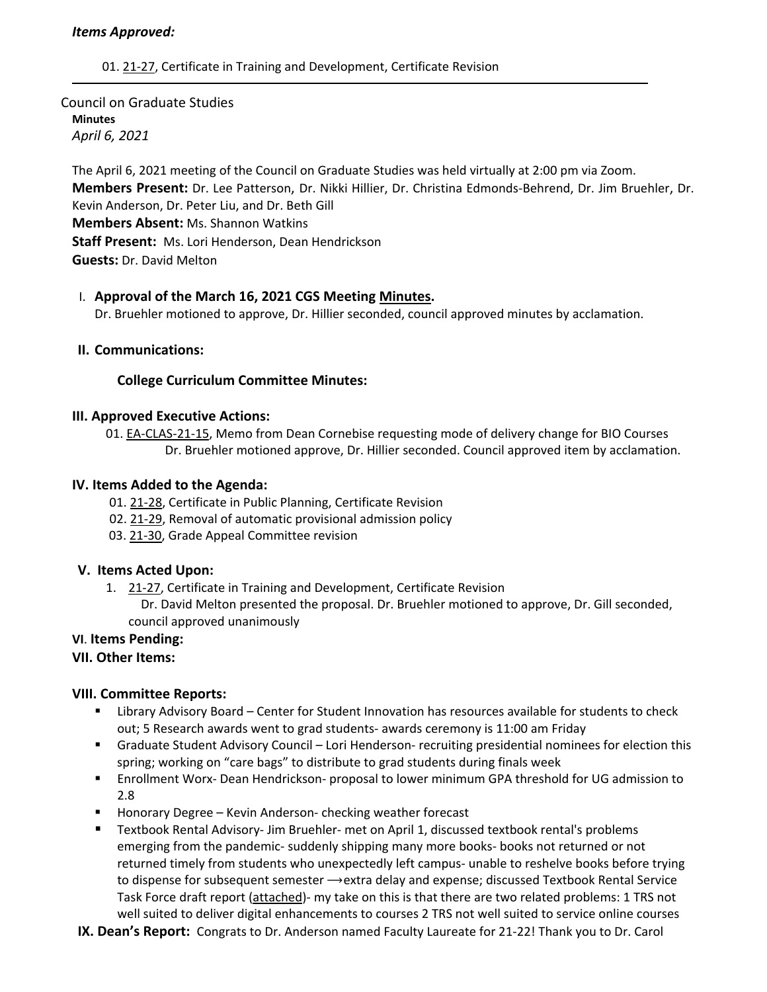### *Items Approved:*

01. 21‐[27,](https://castle.eiu.edu/eiucgs/currentagendaitems/agenda21-27.pdf) Certificate in Training and Development, Certificate Revision

# Council on Graduate Studies **Minutes** *April 6, 2021*

The April 6, 2021 meeting of the Council on Graduate Studies was held virtually at 2:00 pm via Zoom. **Members Present:** Dr. Lee Patterson, Dr. Nikki Hillier, Dr. Christina Edmonds‐Behrend, Dr. Jim Bruehler, Dr. Kevin Anderson, Dr. Peter Liu, and Dr. Beth Gill **Members Absent:** Ms. Shannon Watkins **Staff Present:** Ms. Lori Henderson, Dean Hendrickson **Guests:** Dr. David Melton

### I. **Approval of the March 16, 2021 CGS Meeting [Minutes.](https://castle.eiu.edu/~eiucgs/currentminutes/Minutes3-16-21.pdf)**

Dr. Bruehler motioned to approve, Dr. Hillier seconded, council approved minutes by acclamation.

### **II. Communications:**

#### **College Curriculum Committee Minutes:**

#### **III. Approved Executive Actions:**

01. EA-[CLAS](https://castle.eiu.edu/eiucgs/exec-actions/EA-CLAS-21-15.pdf)-21-15, Memo from Dean Cornebise requesting mode of delivery change for BIO Courses Dr. Bruehler motioned approve, Dr. Hillier seconded. Council approved item by acclamation.

### **IV. Items Added to the Agenda:**

- 01. 21‐[28,](https://castle.eiu.edu/eiucgs/currentagendaitems/agenda21-28.pdf) Certificate in Public Planning, Certificate Revision
- 02. 21‐[29,](https://castle.eiu.edu/eiucgs/currentagendaitems/agenda21-29.pdf) Removal of automatic provisional admission policy
- 03. [21](https://castle.eiu.edu/eiucgs/currentagendaitems/agenda21-30.pdf)‐30, Grade Appeal Committee revision

#### **V. Items Acted Upon:**

1. [21](https://castle.eiu.edu/eiucgs/currentagendaitems/agenda21-27.pdf)‐27, Certificate in Training and Development, Certificate Revision Dr. David Melton presented the proposal. Dr. Bruehler motioned to approve, Dr. Gill seconded, council approved unanimously

## **VI**. **Items Pending:**

## **VII. Other Items:**

## **VIII. Committee Reports:**

- Library Advisory Board Center for Student Innovation has resources available for students to check out; 5 Research awards went to grad students‐ awards ceremony is 11:00 am Friday
- Graduate Student Advisory Council Lori Henderson- recruiting presidential nominees for election this spring; working on "care bags" to distribute to grad students during finals week
- Enrollment Worx- Dean Hendrickson- proposal to lower minimum GPA threshold for UG admission to 2.8
- Honorary Degree Kevin Anderson- checking weather forecast
- Textbook Rental Advisory- Jim Bruehler- met on April 1, discussed textbook rental's problems emerging from the pandemic‐ suddenly shipping many more books‐ books not returned or not returned timely from students who unexpectedly left campus‐ unable to reshelve books before trying to dispense for subsequent semester  $\rightarrow$ extra delay and expense; discussed Textbook Rental Service Task Force draft report ([attached\)](https://castle.eiu.edu/eiucgs/2021Proposed%20Model%20for%20Textbook%20Rental.pdf)‐ my take on this is that there are two related problems: 1 TRS not well suited to deliver digital enhancements to courses 2 TRS not well suited to service online courses
- **IX. Dean's Report:** Congrats to Dr. Anderson named Faculty Laureate for 21-22! Thank you to Dr. Carol